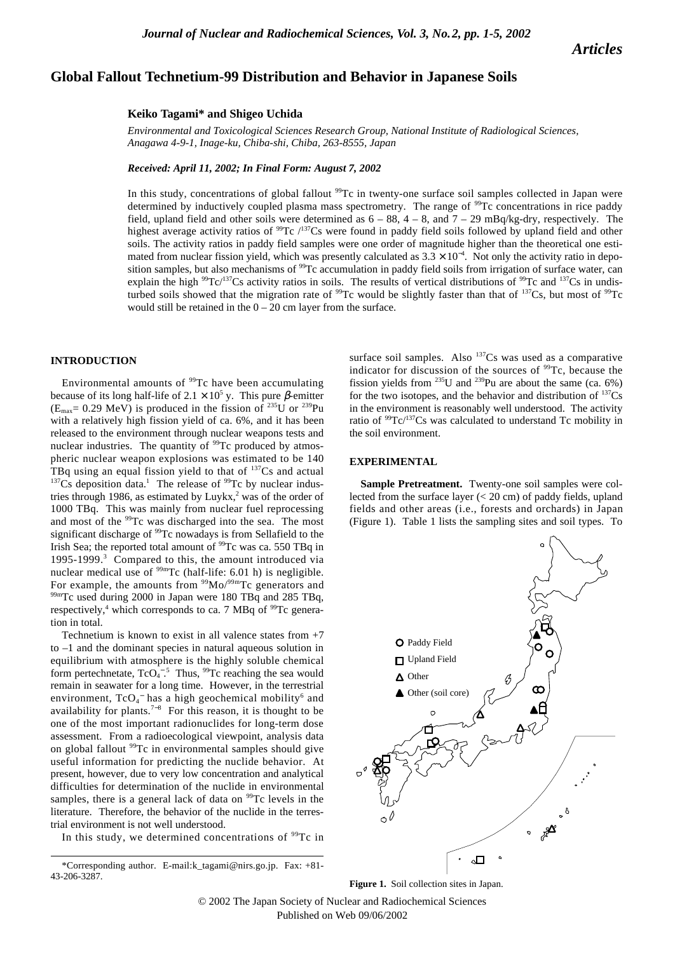*Articles*

# **Global Fallout Technetium-99 Distribution and Behavior in Japanese Soils**

#### **Keiko Tagami\* and Shigeo Uchida**

*Environmental and Toxicological Sciences Research Group, National Institute of Radiological Sciences, Anagawa 4-9-1, Inage-ku, Chiba-shi, Chiba, 263-8555, Japan*

*Received: April 11, 2002; In Final Form: August 7, 2002*

In this study, concentrations of global fallout <sup>99</sup>Tc in twenty-one surface soil samples collected in Japan were determined by inductively coupled plasma mass spectrometry. The range of <sup>99</sup>Tc concentrations in rice paddy field, upland field and other soils were determined as  $6 - 88$ ,  $4 - 8$ , and  $7 - 29$  mBq/kg-dry, respectively. The highest average activity ratios of  $^{99}$ Tc  $/137$ Cs were found in paddy field soils followed by upland field and other soils. The activity ratios in paddy field samples were one order of magnitude higher than the theoretical one estimated from nuclear fission yield, which was presently calculated as  $3.3 \times 10^{-4}$ . Not only the activity ratio in deposition samples, but also mechanisms of <sup>99</sup>Tc accumulation in paddy field soils from irrigation of surface water, can explain the high  $99Tc/137Cs$  activity ratios in soils. The results of vertical distributions of  $99Tc$  and  $137Cs$  in undisturbed soils showed that the migration rate of  $^{99}$ Tc would be slightly faster than that of  $^{137}$ Cs, but most of  $^{99}$ Tc would still be retained in the  $0 - 20$  cm layer from the surface.

## **INTRODUCTION**

Environmental amounts of <sup>99</sup>Tc have been accumulating because of its long half-life of  $2.1 \times 10^5$  y. This pure  $\beta$ -emitter  $(E_{\text{max}}= 0.29 \text{ MeV})$  is produced in the fission of <sup>235</sup>U or <sup>239</sup>Pu with a relatively high fission yield of ca. 6%, and it has been released to the environment through nuclear weapons tests and nuclear industries. The quantity of <sup>99</sup>Tc produced by atmospheric nuclear weapon explosions was estimated to be 140 TBq using an equal fission yield to that of <sup>137</sup>Cs and actual  $137Cs$  deposition data.<sup>1</sup> The release of <sup>99</sup>Tc by nuclear industries through 1986, as estimated by Luykx, $2$  was of the order of 1000 TBq. This was mainly from nuclear fuel reprocessing and most of the <sup>99</sup>Tc was discharged into the sea. The most significant discharge of <sup>99</sup>Tc nowadays is from Sellafield to the Irish Sea; the reported total amount of <sup>99</sup>Tc was ca. 550 TBq in 1995-1999.3 Compared to this, the amount introduced via nuclear medical use of <sup>99m</sup>Tc (half-life: 6.01 h) is negligible. For example, the amounts from <sup>99</sup>Mo/<sup>99m</sup>Tc generators and  $nTc$  used during 2000 in Japan were 180 TBq and 285 TBq, respectively,<sup>4</sup> which corresponds to ca. 7 MBq of  $^{99}$ Tc generation in total.

Technetium is known to exist in all valence states from  $+7$ to –1 and the dominant species in natural aqueous solution in equilibrium with atmosphere is the highly soluble chemical form pertechnetate,  $TcO<sub>4</sub><sup>-5</sup>$  Thus, <sup>99</sup>Tc reaching the sea would remain in seawater for a long time. However, in the terrestrial environment,  $TcO_4^-$  has a high geochemical mobility $^6$  and availability for plants.<sup>7-8</sup> For this reason, it is thought to be one of the most important radionuclides for long-term dose assessment. From a radioecological viewpoint, analysis data on global fallout <sup>99</sup>Tc in environmental samples should give useful information for predicting the nuclide behavior. At present, however, due to very low concentration and analytical difficulties for determination of the nuclide in environmental samples, there is a general lack of data on  $99Tc$  levels in the literature. Therefore, the behavior of the nuclide in the terrestrial environment is not well understood.

In this study, we determined concentrations of <sup>99</sup>Tc in

surface soil samples. Also  $137Cs$  was used as a comparative indicator for discussion of the sources of 99Tc, because the fission yields from <sup>235</sup>U and <sup>239</sup>Pu are about the same (ca. 6%) for the two isotopes, and the behavior and distribution of  $137Cs$ in the environment is reasonably well understood. The activity ratio of  $99Tc^{137}Cs$  was calculated to understand Tc mobility in the soil environment.

## **EXPERIMENTAL**

Sample Pretreatment. Twenty-one soil samples were collected from the surface layer (< 20 cm) of paddy fields, upland fields and other areas (i.e., forests and orchards) in Japan (Figure 1). Table 1 lists the sampling sites and soil types. To



**Figure 1.** Soil collection sites in Japan.

© 2002 The Japan Society of Nuclear and Radiochemical Sciences Published on Web 09/06/2002

<sup>\*</sup>Corresponding author. E-mail:k\_tagami@nirs.go.jp. Fax: +81- 43-206-3287.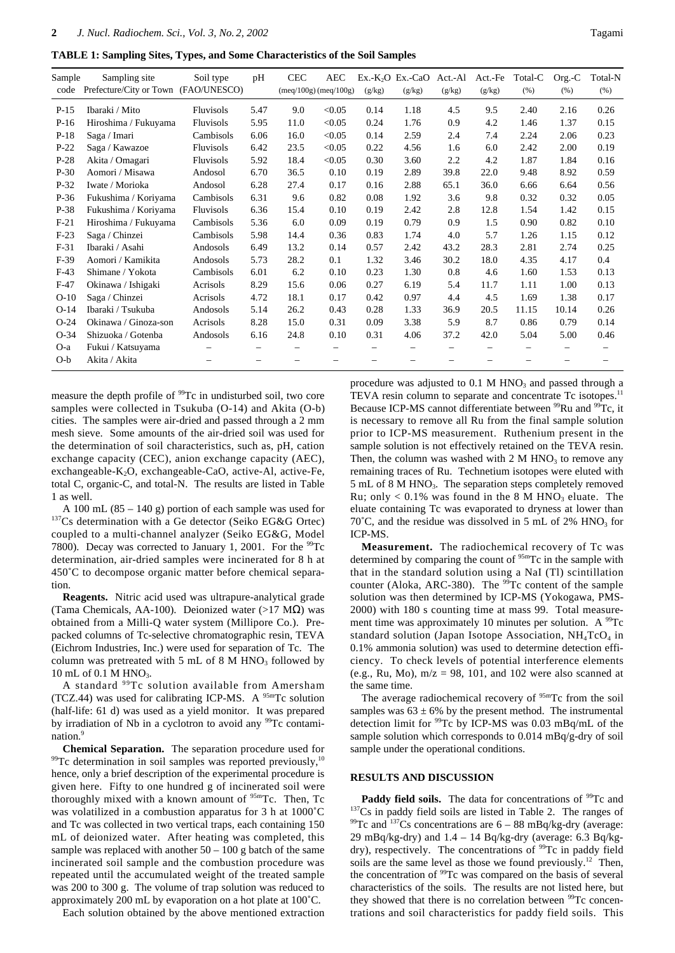**TABLE 1: Sampling Sites, Types, and Some Characteristics of the Soil Samples**

| Sample | Sampling site                        | Soil type        | pH   | <b>CEC</b> | AEC                       |        | $Ex.-K2O$ $Ex.-CaO$ | Act.-Al | Act.-Fe | Total-C | $Org.-C$ | Total-N |
|--------|--------------------------------------|------------------|------|------------|---------------------------|--------|---------------------|---------|---------|---------|----------|---------|
| code   | Prefecture/City or Town (FAO/UNESCO) |                  |      |            | $(meq/100g)$ $(meq/100g)$ | (g/kg) | (g/kg)              | (g/kg)  | (g/kg)  | (% )    | (% )     | (% )    |
| $P-15$ | Ibaraki / Mito                       | <b>Fluvisols</b> | 5.47 | 9.0        | < 0.05                    | 0.14   | 1.18                | 4.5     | 9.5     | 2.40    | 2.16     | 0.26    |
| $P-16$ | Hiroshima / Fukuyama                 | <b>Fluvisols</b> | 5.95 | 11.0       | < 0.05                    | 0.24   | 1.76                | 0.9     | 4.2     | 1.46    | 1.37     | 0.15    |
| $P-18$ | Saga / Imari                         | Cambisols        | 6.06 | 16.0       | < 0.05                    | 0.14   | 2.59                | 2.4     | 7.4     | 2.24    | 2.06     | 0.23    |
| $P-22$ | Saga / Kawazoe                       | <b>Fluvisols</b> | 6.42 | 23.5       | < 0.05                    | 0.22   | 4.56                | 1.6     | 6.0     | 2.42    | 2.00     | 0.19    |
| $P-28$ | Akita / Omagari                      | <b>Fluvisols</b> | 5.92 | 18.4       | < 0.05                    | 0.30   | 3.60                | 2.2     | 4.2     | 1.87    | 1.84     | 0.16    |
| $P-30$ | Aomori / Misawa                      | Andosol          | 6.70 | 36.5       | 0.10                      | 0.19   | 2.89                | 39.8    | 22.0    | 9.48    | 8.92     | 0.59    |
| $P-32$ | Iwate / Morioka                      | Andosol          | 6.28 | 27.4       | 0.17                      | 0.16   | 2.88                | 65.1    | 36.0    | 6.66    | 6.64     | 0.56    |
| $P-36$ | Fukushima / Koriyama                 | Cambisols        | 6.31 | 9.6        | 0.82                      | 0.08   | 1.92                | 3.6     | 9.8     | 0.32    | 0.32     | 0.05    |
| P-38   | Fukushima / Koriyama                 | <b>Fluvisols</b> | 6.36 | 15.4       | 0.10                      | 0.19   | 2.42                | 2.8     | 12.8    | 1.54    | 1.42     | 0.15    |
| $F-21$ | Hiroshima / Fukuyama                 | Cambisols        | 5.36 | 6.0        | 0.09                      | 0.19   | 0.79                | 0.9     | 1.5     | 0.90    | 0.82     | 0.10    |
| $F-23$ | Saga / Chinzei                       | Cambisols        | 5.98 | 14.4       | 0.36                      | 0.83   | 1.74                | 4.0     | 5.7     | 1.26    | 1.15     | 0.12    |
| $F-31$ | Ibaraki / Asahi                      | Andosols         | 6.49 | 13.2       | 0.14                      | 0.57   | 2.42                | 43.2    | 28.3    | 2.81    | 2.74     | 0.25    |
| $F-39$ | Aomori / Kamikita                    | Andosols         | 5.73 | 28.2       | 0.1                       | 1.32   | 3.46                | 30.2    | 18.0    | 4.35    | 4.17     | 0.4     |
| $F-43$ | Shimane / Yokota                     | Cambisols        | 6.01 | 6.2        | 0.10                      | 0.23   | 1.30                | 0.8     | 4.6     | 1.60    | 1.53     | 0.13    |
| $F-47$ | Okinawa / Ishigaki                   | Acrisols         | 8.29 | 15.6       | 0.06                      | 0.27   | 6.19                | 5.4     | 11.7    | 1.11    | 1.00     | 0.13    |
| $O-10$ | Saga / Chinzei                       | Acrisols         | 4.72 | 18.1       | 0.17                      | 0.42   | 0.97                | 4.4     | 4.5     | 1.69    | 1.38     | 0.17    |
| $O-14$ | Ibaraki / Tsukuba                    | Andosols         | 5.14 | 26.2       | 0.43                      | 0.28   | 1.33                | 36.9    | 20.5    | 11.15   | 10.14    | 0.26    |
| $O-24$ | Okinawa / Ginoza-son                 | Acrisols         | 8.28 | 15.0       | 0.31                      | 0.09   | 3.38                | 5.9     | 8.7     | 0.86    | 0.79     | 0.14    |
| $O-34$ | Shizuoka / Gotenba                   | Andosols         | 6.16 | 24.8       | 0.10                      | 0.31   | 4.06                | 37.2    | 42.0    | 5.04    | 5.00     | 0.46    |
| $O-a$  | Fukui / Katsuyama                    |                  |      |            |                           |        |                     |         |         |         |          |         |
| $O-b$  | Akita / Akita                        |                  |      |            |                           |        |                     |         |         |         |          |         |

measure the depth profile of <sup>99</sup>Tc in undisturbed soil, two core samples were collected in Tsukuba (O-14) and Akita (O-b) cities. The samples were air-dried and passed through a 2 mm mesh sieve. Some amounts of the air-dried soil was used for the determination of soil characteristics, such as, pH, cation exchange capacity (CEC), anion exchange capacity (AEC), exchangeable-K2O, exchangeable-CaO, active-Al, active-Fe, total C, organic-C, and total-N. The results are listed in Table 1 as well.

A 100 mL (85 – 140 g) portion of each sample was used for 137Cs determination with a Ge detector (Seiko EG&G Ortec) coupled to a multi-channel analyzer (Seiko EG&G, Model 7800). Decay was corrected to January 1, 2001. For the  $^{99}$ Tc determination, air-dried samples were incinerated for 8 h at 450˚C to decompose organic matter before chemical separation.

**Reagents.** Nitric acid used was ultrapure-analytical grade (Tama Chemicals, AA-100). Deionized water  $(>17 \text{ M}\Omega)$  was obtained from a Milli-Q water system (Millipore Co.). Prepacked columns of Tc-selective chromatographic resin, TEVA (Eichrom Industries, Inc.) were used for separation of Tc. The column was pretreated with 5 mL of 8 M  $HNO<sub>3</sub>$  followed by 10 mL of 0.1 M HNO<sub>3</sub>.

A standard 99Tc solution available from Amersham (TCZ.44) was used for calibrating ICP-MS. A  $95m$ Tc solution (half-life: 61 d) was used as a yield monitor. It was prepared by irradiation of Nb in a cyclotron to avoid any <sup>99</sup>Tc contamination.<sup>9</sup>

**Chemical Separation.** The separation procedure used for  $99$ <sup>T</sup>C determination in soil samples was reported previously,<sup>10</sup> hence, only a brief description of the experimental procedure is given here. Fifty to one hundred g of incinerated soil were thoroughly mixed with a known amount of <sup>95m</sup>Tc. Then, Tc was volatilized in a combustion apparatus for 3 h at 1000˚C and Tc was collected in two vertical traps, each containing 150 mL of deionized water. After heating was completed, this sample was replaced with another  $50 - 100$  g batch of the same incinerated soil sample and the combustion procedure was repeated until the accumulated weight of the treated sample was 200 to 300 g. The volume of trap solution was reduced to approximately 200 mL by evaporation on a hot plate at 100˚C.

Each solution obtained by the above mentioned extraction

procedure was adjusted to  $0.1$  M HNO<sub>3</sub> and passed through a TEVA resin column to separate and concentrate Tc isotopes.<sup>11</sup> Because ICP-MS cannot differentiate between <sup>99</sup>Ru and <sup>99</sup>Tc, it is necessary to remove all Ru from the final sample solution prior to ICP-MS measurement. Ruthenium present in the sample solution is not effectively retained on the TEVA resin. Then, the column was washed with  $2 M HNO<sub>3</sub>$  to remove any remaining traces of Ru. Technetium isotopes were eluted with 5 mL of 8 M HNO<sub>3</sub>. The separation steps completely removed Ru; only  $< 0.1\%$  was found in the 8 M HNO<sub>3</sub> eluate. The eluate containing Tc was evaporated to dryness at lower than 70 $^{\circ}$ C, and the residue was dissolved in 5 mL of 2% HNO<sub>3</sub> for ICP-MS.

**Measurement.** The radiochemical recovery of Tc was determined by comparing the count of <sup>95m</sup>Tc in the sample with that in the standard solution using a NaI (Tl) scintillation counter (Aloka, ARC-380). The <sup>99</sup>Tc content of the sample solution was then determined by ICP-MS (Yokogawa, PMS-2000) with 180 s counting time at mass 99. Total measurement time was approximately 10 minutes per solution. A  $^{99}$ Tc standard solution (Japan Isotope Association,  $NH_4TcO_4$  in 0.1% ammonia solution) was used to determine detection efficiency. To check levels of potential interference elements (e.g., Ru, Mo),  $m/z = 98$ , 101, and 102 were also scanned at the same time.

The average radiochemical recovery of <sup>95m</sup>Tc from the soil samples was  $63 \pm 6\%$  by the present method. The instrumental detection limit for 99Tc by ICP-MS was 0.03 mBq/mL of the sample solution which corresponds to 0.014 mBq/g-dry of soil sample under the operational conditions.

## **RESULTS AND DISCUSSION**

Paddy field soils. The data for concentrations of <sup>99</sup>Tc and <sup>137</sup>Cs in paddy field soils are listed in Table 2. The ranges of  $99$ Tc and  $137$ Cs concentrations are  $6 - 88$  mBq/kg-dry (average: 29 mBq/kg-dry) and  $1.4 - 14$  Bq/kg-dry (average: 6.3 Bq/kgdry), respectively. The concentrations of <sup>99</sup>Tc in paddy field soils are the same level as those we found previously.<sup>12</sup> Then, the concentration of <sup>99</sup>Tc was compared on the basis of several characteristics of the soils. The results are not listed here, but they showed that there is no correlation between <sup>99</sup>Tc concentrations and soil characteristics for paddy field soils. This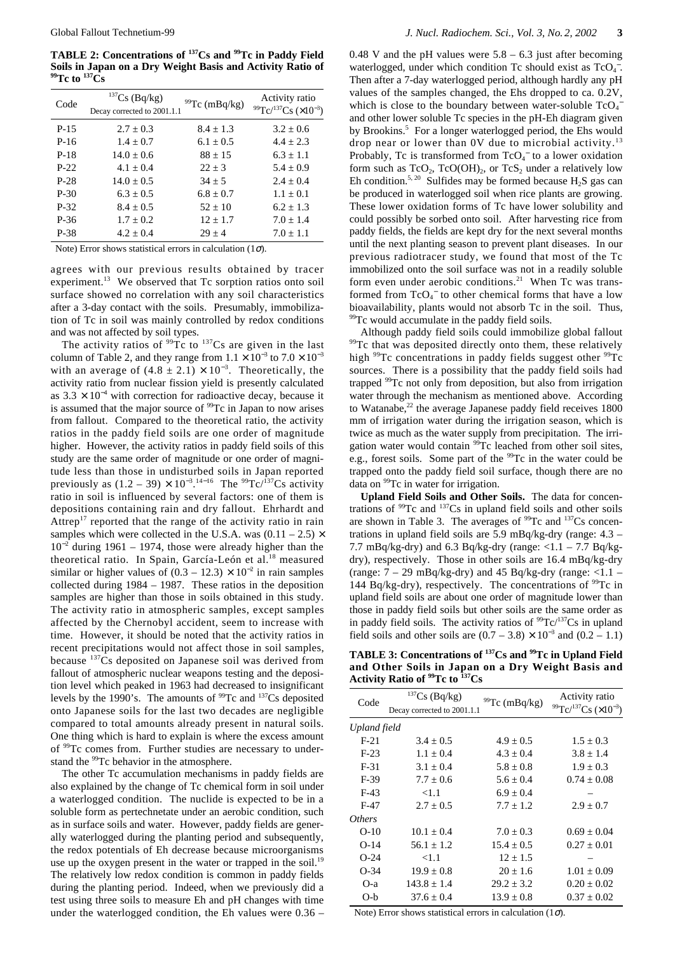**TABLE 2: Concentrations of 137Cs and 99Tc in Paddy Field Soils in Japan on a Dry Weight Basis and Activity Ratio of 99Tc to 137Cs**

| Code   | $137Cs$ (Bq/kg)<br>Decay corrected to 2001.1.1 | $99$ Tc (mBq/kg) | Activity ratio<br>$^{99}$ Tc/ <sup>137</sup> Cs (×10 <sup>-3</sup> ) |
|--------|------------------------------------------------|------------------|----------------------------------------------------------------------|
| $P-15$ | $2.7 + 0.3$                                    | $8.4 + 1.3$      | $3.2 + 0.6$                                                          |
| $P-16$ | $1.4 + 0.7$                                    | $6.1 + 0.5$      | $4.4 + 2.3$                                                          |
| $P-18$ | $14.0 + 0.6$                                   | $88 + 15$        | $6.3 + 1.1$                                                          |
| $P-22$ | $4.1 + 0.4$                                    | $22 \pm 3$       | $5.4 + 0.9$                                                          |
| $P-28$ | $14.0 + 0.5$                                   | $34 + 5$         | $2.4 + 0.4$                                                          |
| $P-30$ | $6.3 + 0.5$                                    | $6.8 + 0.7$      | $1.1 + 0.1$                                                          |
| $P-32$ | $8.4 + 0.5$                                    | $52 + 10$        | $6.2 + 1.3$                                                          |
| P-36   | $1.7 + 0.2$                                    | $12 + 1.7$       | $7.0 + 1.4$                                                          |
| P-38   | $4.2 \pm 0.4$                                  | $29 + 4$         | $7.0 \pm 1.1$                                                        |

Note) Error shows statistical errors in calculation (1 $\sigma$ ).

agrees with our previous results obtained by tracer experiment.<sup>13</sup> We observed that Tc sorption ratios onto soil surface showed no correlation with any soil characteristics after a 3-day contact with the soils. Presumably, immobilization of Tc in soil was mainly controlled by redox conditions and was not affected by soil types.

The activity ratios of  $\frac{99}{Tc}$  to  $\frac{137}{Cs}$  are given in the last column of Table 2, and they range from  $1.1 \times 10^{-3}$  to  $7.0 \times 10^{-3}$ with an average of  $(4.8 \pm 2.1) \times 10^{-3}$ . Theoretically, the activity ratio from nuclear fission yield is presently calculated as  $3.3 \times 10^{-4}$  with correction for radioactive decay, because it is assumed that the major source of <sup>99</sup>Tc in Japan to now arises from fallout. Compared to the theoretical ratio, the activity ratios in the paddy field soils are one order of magnitude higher. However, the activity ratios in paddy field soils of this study are the same order of magnitude or one order of magnitude less than those in undisturbed soils in Japan reported previously as  $(1.2 - 39) \times 10^{-3}$ .<sup>14–16</sup> The <sup>99</sup>Tc/<sup>137</sup>Cs activity ratio in soil is influenced by several factors: one of them is depositions containing rain and dry fallout. Ehrhardt and Attrep<sup>17</sup> reported that the range of the activity ratio in rain samples which were collected in the U.S.A. was  $(0.11 - 2.5) \times$  $10^{-2}$  during 1961 – 1974, those were already higher than the theoretical ratio. In Spain, García-León et al.18 measured similar or higher values of  $(0.3 - 12.3) \times 10^{-2}$  in rain samples collected during 1984 – 1987. These ratios in the deposition samples are higher than those in soils obtained in this study. The activity ratio in atmospheric samples, except samples affected by the Chernobyl accident, seem to increase with time. However, it should be noted that the activity ratios in recent precipitations would not affect those in soil samples, because 137Cs deposited on Japanese soil was derived from fallout of atmospheric nuclear weapons testing and the deposition level which peaked in 1963 had decreased to insignificant levels by the 1990's. The amounts of <sup>99</sup>Tc and <sup>137</sup>Cs deposited onto Japanese soils for the last two decades are negligible compared to total amounts already present in natural soils. One thing which is hard to explain is where the excess amount of 99Tc comes from. Further studies are necessary to understand the <sup>99</sup>Tc behavior in the atmosphere.

The other Tc accumulation mechanisms in paddy fields are also explained by the change of Tc chemical form in soil under a waterlogged condition. The nuclide is expected to be in a soluble form as pertechnetate under an aerobic condition, such as in surface soils and water. However, paddy fields are generally waterlogged during the planting period and subsequently, the redox potentials of Eh decrease because microorganisms use up the oxygen present in the water or trapped in the soil.<sup>19</sup> The relatively low redox condition is common in paddy fields during the planting period. Indeed, when we previously did a test using three soils to measure Eh and pH changes with time under the waterlogged condition, the Eh values were 0.36 – 0.48 V and the pH values were  $5.8 - 6.3$  just after becoming waterlogged, under which condition Tc should exist as TcO<sub>4</sub><sup>-</sup>. Then after a 7-day waterlogged period, although hardly any pH values of the samples changed, the Ehs dropped to ca. 0.2V, which is close to the boundary between water-soluble  $TcO<sub>4</sub>$ and other lower soluble Tc species in the pH-Eh diagram given by Brookins.<sup>5</sup> For a longer waterlogged period, the Ehs would drop near or lower than 0V due to microbial activity.13 Probably, Tc is transformed from  $TcO<sub>4</sub><sup>-</sup>$  to a lower oxidation form such as  $TcO_2$ ,  $TcO(OH)$ <sub>2</sub>, or  $TcS_2$  under a relatively low Eh condition.<sup>5, 20</sup> Sulfides may be formed because  $H_2S$  gas can be produced in waterlogged soil when rice plants are growing. These lower oxidation forms of Tc have lower solubility and could possibly be sorbed onto soil. After harvesting rice from paddy fields, the fields are kept dry for the next several months until the next planting season to prevent plant diseases. In our previous radiotracer study, we found that most of the Tc immobilized onto the soil surface was not in a readily soluble form even under aerobic conditions.<sup>21</sup> When Tc was transformed from  $TcO<sub>4</sub><sup>-</sup>$  to other chemical forms that have a low bioavailability, plants would not absorb Tc in the soil. Thus, <sup>99</sup>Tc would accumulate in the paddy field soils.

Although paddy field soils could immobilize global fallout <sup>99</sup>Tc that was deposited directly onto them, these relatively high <sup>99</sup>Tc concentrations in paddy fields suggest other <sup>99</sup>Tc sources. There is a possibility that the paddy field soils had trapped 99Tc not only from deposition, but also from irrigation water through the mechanism as mentioned above. According to Watanabe, $22$  the average Japanese paddy field receives  $1800$ mm of irrigation water during the irrigation season, which is twice as much as the water supply from precipitation. The irrigation water would contain <sup>99</sup>Tc leached from other soil sites, e.g., forest soils. Some part of the <sup>99</sup>Tc in the water could be trapped onto the paddy field soil surface, though there are no data on <sup>99</sup>Tc in water for irrigation.

**Upland Field Soils and Other Soils.** The data for concentrations of  $99Tc$  and  $137Cs$  in upland field soils and other soils are shown in Table 3. The averages of  $99Tc$  and  $137Cs$  concentrations in upland field soils are 5.9 mBq/kg-dry (range: 4.3 – 7.7 mBq/kg-dry) and 6.3 Bq/kg-dry (range:  $\langle 1.1 - 7.7 \text{ Bq/kg}$ dry), respectively. Those in other soils are 16.4 mBq/kg-dry (range:  $7 - 29$  mBq/kg-dry) and 45 Bq/kg-dry (range:  $< 1.1$  – 144 Bq/kg-dry), respectively. The concentrations of  $99$ Tc in upland field soils are about one order of magnitude lower than those in paddy field soils but other soils are the same order as in paddy field soils. The activity ratios of  $\rm{^{99}Tc/^{137}Cs}$  in upland field soils and other soils are  $(0.7 - 3.8) \times 10^{-3}$  and  $(0.2 - 1.1)$ 

**TABLE 3: Concentrations of 137Cs and 99Tc in Upland Field and Other Soils in Japan on a Dry Weight Basis and Activity Ratio of 99Tc to 137Cs**

| Code          | $137Cs$ (Bq/kg)<br>Decay corrected to 2001.1.1 | $99$ Tc (mBq/kg) | Activity ratio<br>$99^{\circ}$ Tc/ <sup>137</sup> Cs (×10 <sup>-3</sup> ) |
|---------------|------------------------------------------------|------------------|---------------------------------------------------------------------------|
| Upland field  |                                                |                  |                                                                           |
| $F-21$        | $3.4 + 0.5$                                    | $4.9 + 0.5$      | $1.5 + 0.3$                                                               |
| $F-23$        | $1.1 + 0.4$                                    | $4.3 + 0.4$      | $3.8 \pm 1.4$                                                             |
| $F-31$        | $3.1 + 0.4$                                    | $5.8 + 0.8$      | $1.9 + 0.3$                                                               |
| $F-39$        | $7.7 \pm 0.6$                                  | $5.6 + 0.4$      | $0.74 + 0.08$                                                             |
| $F-43$        | < 1.1                                          | $6.9 + 0.4$      |                                                                           |
| $F-47$        | $2.7 + 0.5$                                    | $7.7 + 1.2$      | $2.9 \pm 0.7$                                                             |
| <i>Others</i> |                                                |                  |                                                                           |
| $O-10$        | $10.1 + 0.4$                                   | $7.0 \pm 0.3$    | $0.69 \pm 0.04$                                                           |
| $O-14$        | $56.1 + 1.2$                                   | $15.4 + 0.5$     | $0.27 + 0.01$                                                             |
| $O-24$        | ${<}1.1$                                       | $12 \pm 1.5$     |                                                                           |
| $O-34$        | $19.9 \pm 0.8$                                 | $20 + 1.6$       | $1.01 \pm 0.09$                                                           |
| $O-a$         | $143.8 + 1.4$                                  | $29.2 + 3.2$     | $0.20 + 0.02$                                                             |
| $O-b$         | $37.6 + 0.4$                                   | $13.9 + 0.8$     | $0.37 + 0.02$                                                             |

Note) Error shows statistical errors in calculation  $(1\sigma)$ .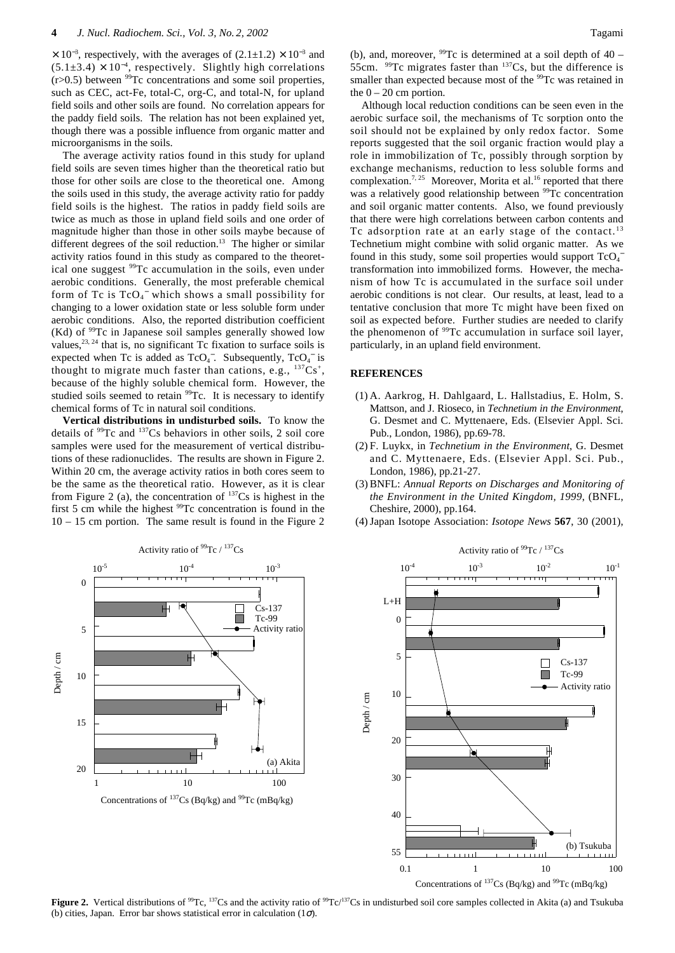$\times$  10<sup>-3</sup>, respectively, with the averages of (2.1±1.2) × 10<sup>-3</sup> and  $(5.1\pm3.4) \times 10^{-4}$ , respectively. Slightly high correlations  $(r>0.5)$  between <sup>99</sup>Tc concentrations and some soil properties, such as CEC, act-Fe, total-C, org-C, and total-N, for upland field soils and other soils are found. No correlation appears for the paddy field soils. The relation has not been explained yet, though there was a possible influence from organic matter and microorganisms in the soils.

The average activity ratios found in this study for upland field soils are seven times higher than the theoretical ratio but those for other soils are close to the theoretical one. Among the soils used in this study, the average activity ratio for paddy field soils is the highest. The ratios in paddy field soils are twice as much as those in upland field soils and one order of magnitude higher than those in other soils maybe because of different degrees of the soil reduction.<sup>13</sup> The higher or similar activity ratios found in this study as compared to the theoretical one suggest 99Tc accumulation in the soils, even under aerobic conditions. Generally, the most preferable chemical form of Tc is  $TcO<sub>4</sub>$ <sup>-</sup> which shows a small possibility for changing to a lower oxidation state or less soluble form under aerobic conditions. Also, the reported distribution coefficient (Kd) of 99Tc in Japanese soil samples generally showed low values,  $^{23, 24}$  that is, no significant Tc fixation to surface soils is expected when Tc is added as  $TcO<sub>4</sub>^-$ . Subsequently,  $TcO<sub>4</sub>^-$  is thought to migrate much faster than cations, e.g.,  $^{137}Cs^+$ , because of the highly soluble chemical form. However, the studied soils seemed to retain <sup>99</sup>Tc. It is necessary to identify chemical forms of Tc in natural soil conditions.

**Vertical distributions in undisturbed soils.** To know the details of  $99$ Tc and  $137$ Cs behaviors in other soils, 2 soil core samples were used for the measurement of vertical distributions of these radionuclides. The results are shown in Figure 2. Within 20 cm, the average activity ratios in both cores seem to be the same as the theoretical ratio. However, as it is clear from Figure 2 (a), the concentration of  $^{137}Cs$  is highest in the first 5 cm while the highest  $99Tc$  concentration is found in the 10 – 15 cm portion. The same result is found in the Figure 2

Depth / cm

(b), and, moreover,  $^{99}$ Tc is determined at a soil depth of 40 – 55cm.  $99Tc$  migrates faster than  $137Cs$ , but the difference is smaller than expected because most of the <sup>99</sup>Tc was retained in the  $0 - 20$  cm portion.

Although local reduction conditions can be seen even in the aerobic surface soil, the mechanisms of Tc sorption onto the soil should not be explained by only redox factor. Some reports suggested that the soil organic fraction would play a role in immobilization of Tc, possibly through sorption by exchange mechanisms, reduction to less soluble forms and complexation.<sup>7, 25</sup> Moreover, Morita et al.<sup>16</sup> reported that there was a relatively good relationship between <sup>99</sup>Tc concentration and soil organic matter contents. Also, we found previously that there were high correlations between carbon contents and Tc adsorption rate at an early stage of the contact.<sup>13</sup> Technetium might combine with solid organic matter. As we found in this study, some soil properties would support  $TcO<sub>4</sub>$ transformation into immobilized forms. However, the mechanism of how Tc is accumulated in the surface soil under aerobic conditions is not clear. Our results, at least, lead to a tentative conclusion that more Tc might have been fixed on soil as expected before. Further studies are needed to clarify the phenomenon of <sup>99</sup>Tc accumulation in surface soil layer, particularly, in an upland field environment.

## **REFERENCES**

- (1) A. Aarkrog, H. Dahlgaard, L. Hallstadius, E. Holm, S. Mattson, and J. Rioseco, in *Technetium in the Environment*, G. Desmet and C. Myttenaere, Eds. (Elsevier Appl. Sci. Pub., London, 1986), pp.69-78.
- (2) F. Luykx, in *Technetium in the Environment*, G. Desmet and C. Myttenaere, Eds. (Elsevier Appl. Sci. Pub., London, 1986), pp.21-27.
- (3) BNFL: *Annual Reports on Discharges and Monitoring of the Environment in the United Kingdom, 1999*, (BNFL, Cheshire, 2000), pp.164.
- (4) Japan Isotope Association: *Isotope News* **567**, 30 (2001),

Activity ratio of  $99$ Tc /  $137$ Cs





0.1 1 10 100

(b) Tsukuba

Concentrations of  $^{137}Cs$  (Bq/kg) and  $^{99}Te$  (mBq/kg)

**Figure 2.** Vertical distributions of <sup>99</sup>Tc, <sup>137</sup>Cs and the activity ratio of <sup>99</sup>Tc/<sup>137</sup>Cs in undisturbed soil core samples collected in Akita (a) and Tsukuba (b) cities, Japan. Error bar shows statistical error in calculation  $(1\sigma)$ .

30

40

55